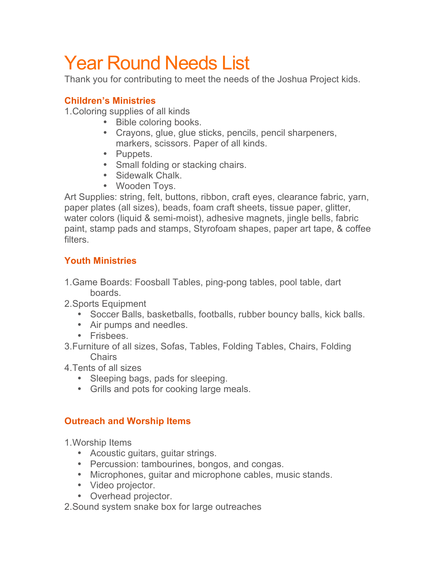# Year Round Needs List

Thank you for contributing to meet the needs of the Joshua Project kids.

## **Children's Ministries**

1.Coloring supplies of all kinds

- Bible coloring books.
- Crayons, glue, glue sticks, pencils, pencil sharpeners, markers, scissors. Paper of all kinds.
- Puppets.
- Small folding or stacking chairs.
- Sidewalk Chalk.
- Wooden Toys.

Art Supplies: string, felt, buttons, ribbon, craft eyes, clearance fabric, yarn, paper plates (all sizes), beads, foam craft sheets, tissue paper, glitter, water colors (liquid & semi-moist), adhesive magnets, jingle bells, fabric paint, stamp pads and stamps, Styrofoam shapes, paper art tape, & coffee filters.

## **Youth Ministries**

- 1.Game Boards: Foosball Tables, ping-pong tables, pool table, dart boards.
- 2.Sports Equipment
	- Soccer Balls, basketballs, footballs, rubber bouncy balls, kick balls.
	- Air pumps and needles.
	- Frisbees.
- 3.Furniture of all sizes, Sofas, Tables, Folding Tables, Chairs, Folding Chairs
- 4.Tents of all sizes
	- Sleeping bags, pads for sleeping.
	- Grills and pots for cooking large meals.

## **Outreach and Worship Items**

1.Worship Items

- Acoustic guitars, guitar strings.
- Percussion: tambourines, bongos, and congas.
- Microphones, guitar and microphone cables, music stands.
- Video projector.
- Overhead projector.

2.Sound system snake box for large outreaches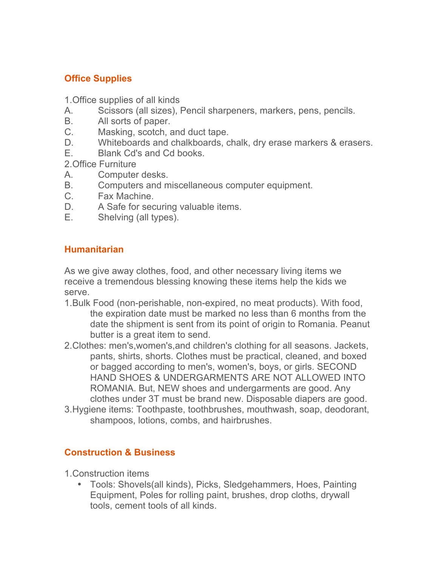### **Office Supplies**

- 1.Office supplies of all kinds
- A. Scissors (all sizes), Pencil sharpeners, markers, pens, pencils.
- B. All sorts of paper.
- C. Masking, scotch, and duct tape.
- D. Whiteboards and chalkboards, chalk, dry erase markers & erasers.
- E. Blank Cd's and Cd books.

2.Office Furniture

- A. Computer desks.
- B. Computers and miscellaneous computer equipment.
- C. Fax Machine.
- D. A Safe for securing valuable items.
- E. Shelving (all types).

#### **Humanitarian**

As we give away clothes, food, and other necessary living items we receive a tremendous blessing knowing these items help the kids we serve.

- 1.Bulk Food (non-perishable, non-expired, no meat products). With food, the expiration date must be marked no less than 6 months from the date the shipment is sent from its point of origin to Romania. Peanut butter is a great item to send.
- 2.Clothes: men's,women's,and children's clothing for all seasons. Jackets, pants, shirts, shorts. Clothes must be practical, cleaned, and boxed or bagged according to men's, women's, boys, or girls. SECOND HAND SHOES & UNDERGARMENTS ARE NOT ALLOWED INTO ROMANIA. But, NEW shoes and undergarments are good. Any clothes under 3T must be brand new. Disposable diapers are good.
- 3.Hygiene items: Toothpaste, toothbrushes, mouthwash, soap, deodorant, shampoos, lotions, combs, and hairbrushes.

#### **Construction & Business**

- 1.Construction items
	- Tools: Shovels(all kinds), Picks, Sledgehammers, Hoes, Painting Equipment, Poles for rolling paint, brushes, drop cloths, drywall tools, cement tools of all kinds.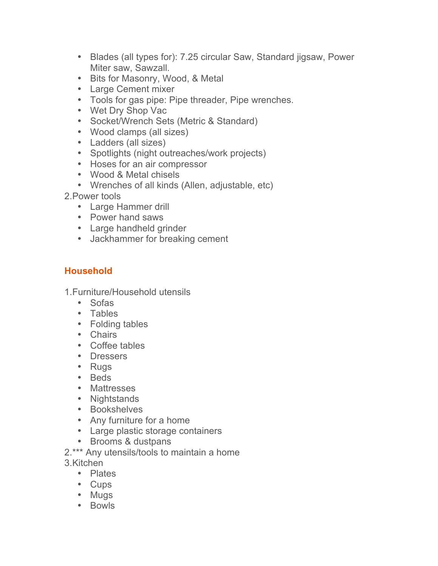- Blades (all types for): 7.25 circular Saw, Standard jigsaw, Power Miter saw, Sawzall.
- Bits for Masonry, Wood, & Metal
- Large Cement mixer
- Tools for gas pipe: Pipe threader, Pipe wrenches.
- Wet Dry Shop Vac
- Socket/Wrench Sets (Metric & Standard)
- Wood clamps (all sizes)
- Ladders (all sizes)
- Spotlights (night outreaches/work projects)
- Hoses for an air compressor
- Wood & Metal chisels
- Wrenches of all kinds (Allen, adjustable, etc)
- 2.Power tools
	- Large Hammer drill
	- Power hand saws
	- Large handheld grinder
	- Jackhammer for breaking cement

## **Household**

1.Furniture/Household utensils

- Sofas
- Tables
- Folding tables
- Chairs
- Coffee tables
- Dressers
- Rugs
- Beds
- Mattresses
- Nightstands
- Bookshelves
- Any furniture for a home
- Large plastic storage containers
- Brooms & dustpans

2.\*\*\* Any utensils/tools to maintain a home 3.Kitchen

- Plates
- Cups
- Mugs
- Bowls